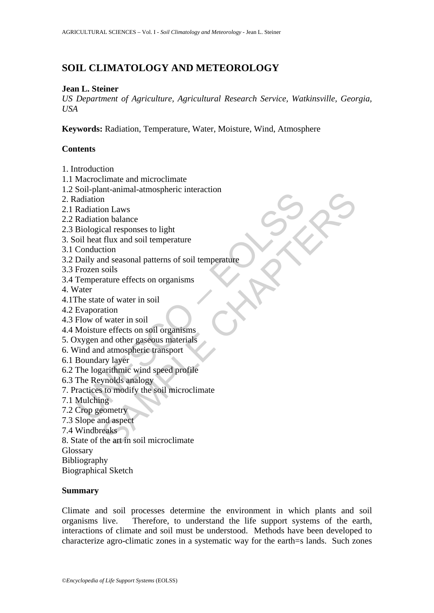# **SOIL CLIMATOLOGY AND METEOROLOGY**

### **Jean L. Steiner**

*US Department of Agriculture, Agricultural Research Service, Watkinsville, Georgia, USA*

**Keywords:** Radiation, Temperature, Water, Moisture, Wind, Atmosphere

# **Contents**

- 1. Introduction
- 1.1 Macroclimate and microclimate
- 1.2 Soil-plant-animal-atmospheric interaction
- 2. Radiation
- 2.1 Radiation Laws
- 2.2 Radiation balance
- 2.3 Biological responses to light
- 3. Soil heat flux and soil temperature
- 3.1 Conduction
- Solone Parameters<br>
adiation<br>
adiation<br>
Radiation Laws<br>
Radiation balance<br>
Elological responses to light<br>
Conduction<br>
Conduction<br>
Daily and seasonal patterns of soil temperature<br>
Frozen soils<br>
Temperature effects on organis and cannot and a set of the metal of the metal of the metal responses to light<br>in thus and soil temperature<br>tion and sesonal patterns of soil temperature<br>tion<br>and seasonal patterns of soil temperature<br>action<br>and seasonal p 3.2 Daily and seasonal patterns of soil temperature
- 3.3 Frozen soils
- 3.4 Temperature effects on organisms
- 4. Water
- 4.1The state of water in soil
- 4.2 Evaporation
- 4.3 Flow of water in soil
- 4.4 Moisture effects on soil organisms
- 5. Oxygen and other gaseous materials
- 6. Wind and atmospheric transport
- 6.1 Boundary layer
- 6.2 The logarithmic wind speed profile
- 6.3 The Reynolds analogy
- 7. Practices to modify the soil microclimate
- 7.1 Mulching
- 7.2 Crop geometry
- 7.3 Slope and aspect
- 7.4 Windbreaks
- 8. State of the art in soil microclimate
- Glossary
- Bibliography
- Biographical Sketch

### **Summary**

Climate and soil processes determine the environment in which plants and soil organisms live. Therefore, to understand the life support systems of the earth, interactions of climate and soil must be understood. Methods have been developed to characterize agro-climatic zones in a systematic way for the earth=s lands. Such zones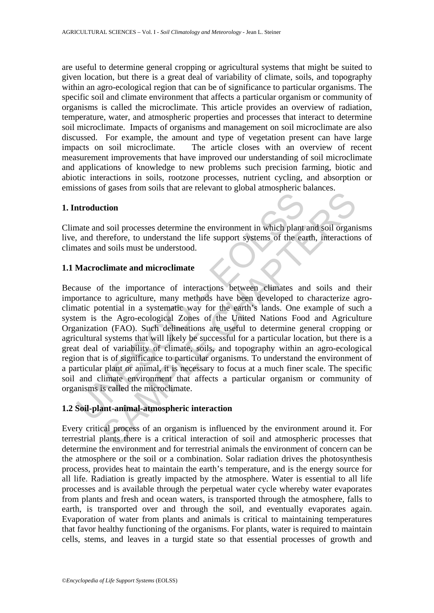are useful to determine general cropping or agricultural systems that might be suited to given location, but there is a great deal of variability of climate, soils, and topography within an agro-ecological region that can be of significance to particular organisms. The specific soil and climate environment that affects a particular organism or community of organisms is called the microclimate. This article provides an overview of radiation, temperature, water, and atmospheric properties and processes that interact to determine soil microclimate. Impacts of organisms and management on soil microclimate are also discussed. For example, the amount and type of vegetation present can have large impacts on soil microclimate. The article closes with an overview of recent measurement improvements that have improved our understanding of soil microclimate and applications of knowledge to new problems such precision farming, biotic and abiotic interactions in soils, rootzone processes, nutrient cycling, and absorption or emissions of gases from soils that are relevant to global atmospheric balances.

### **1. Introduction**

Climate and soil processes determine the environment in which plant and soil organisms live, and therefore, to understand the life support systems of the earth, interactions of climates and soils must be understood.

### **1.1 Macroclimate and microclimate**

Introduction<br>
anate and soil processes determine the environment in which plant<br>
and therefore, to understand the life support systems of the ea<br>
anates and soils must be understood.<br> **Macroclimate and microclimate**<br>
anase The distribution and anti-term is a method with the environment in the same of the conduction<br>and soil processes determine the environment in which plant and soil organizate<br>refore, to understand the life support systems o Because of the importance of interactions between climates and soils and their importance to agriculture, many methods have been developed to characterize agroclimatic potential in a systematic way for the earth's lands. One example of such a system is the Agro-ecological Zones of the United Nations Food and Agriculture Organization (FAO). Such delineations are useful to determine general cropping or agricultural systems that will likely be successful for a particular location, but there is a great deal of variability of climate, soils, and topography within an agro-ecological region that is of significance to particular organisms. To understand the environment of a particular plant or animal, it is necessary to focus at a much finer scale. The specific soil and climate environment that affects a particular organism or community of organisms is called the microclimate.

### **1.2 Soil-plant-animal-atmospheric interaction**

Every critical process of an organism is influenced by the environment around it. For terrestrial plants there is a critical interaction of soil and atmospheric processes that determine the environment and for terrestrial animals the environment of concern can be the atmosphere or the soil or a combination. Solar radiation drives the photosynthesis process, provides heat to maintain the earth's temperature, and is the energy source for all life. Radiation is greatly impacted by the atmosphere. Water is essential to all life processes and is available through the perpetual water cycle whereby water evaporates from plants and fresh and ocean waters, is transported through the atmosphere, falls to earth, is transported over and through the soil, and eventually evaporates again. Evaporation of water from plants and animals is critical to maintaining temperatures that favor healthy functioning of the organisms. For plants, water is required to maintain cells, stems, and leaves in a turgid state so that essential processes of growth and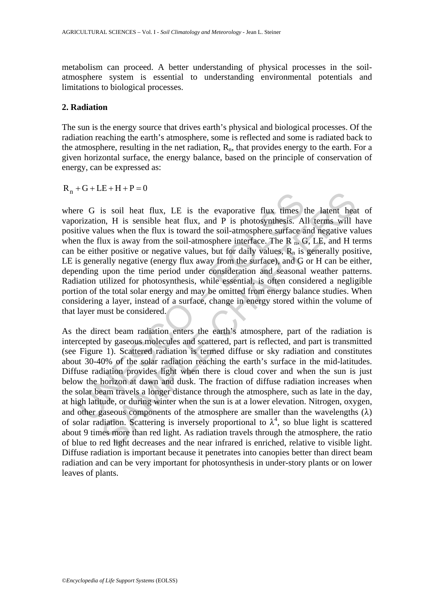metabolism can proceed. A better understanding of physical processes in the soilatmosphere system is essential to understanding environmental potentials and limitations to biological processes.

#### **2. Radiation**

The sun is the energy source that drives earth's physical and biological processes. Of the radiation reaching the earth's atmosphere, some is reflected and some is radiated back to the atmosphere, resulting in the net radiation,  $R_n$ , that provides energy to the earth. For a given horizontal surface, the energy balance, based on the principle of conservation of energy, can be expressed as:

 $R_n + G + LE + H + P = 0$ 

re G is soil heat flux, LE is the evaporative flux times torization, H is sensible heat flux, and P is photosynthesis. Altive values when the flux is toward the soil-atmosphere surface a n the flux is away from the soil-a where G is soil heat flux, LE is the evaporative flux times the latent heat of vaporization, H is sensible heat flux, and P is photosynthesis. All terms will have positive values when the flux is toward the soil-atmosphere surface and negative values when the flux is away from the soil-atmosphere interface. The  $R_n$ , G, LE, and H terms can be either positive or negative values, but for daily values,  $R_n$  is generally positive, LE is generally negative (energy flux away from the surface), and G or H can be either, depending upon the time period under consideration and seasonal weather patterns. Radiation utilized for photosynthesis, while essential, is often considered a negligible portion of the total solar energy and may be omitted from energy balance studies. When considering a layer, instead of a surface, change in energy stored within the volume of that layer must be considered.

SAMPLE CHAPTERS As the direct beam radiation enters the earth's atmosphere, part of the radiation is intercepted by gaseous molecules and scattered, part is reflected, and part is transmitted (see Figure 1). Scattered radiation is termed diffuse or sky radiation and constitutes about 30-40% of the solar radiation reaching the earth's surface in the mid-latitudes. Diffuse radiation provides light when there is cloud cover and when the sun is just below the horizon at dawn and dusk. The fraction of diffuse radiation increases when the solar beam travels a longer distance through the atmosphere, such as late in the day, at high latitude, or during winter when the sun is at a lower elevation. Nitrogen, oxygen, and other gaseous components of the atmosphere are smaller than the wavelengths  $(\lambda)$ of solar radiation. Scattering is inversely proportional to  $\lambda^4$ , so blue light is scattered about 9 times more than red light. As radiation travels through the atmosphere, the ratio of blue to red light decreases and the near infrared is enriched, relative to visible light. Diffuse radiation is important because it penetrates into canopies better than direct beam radiation and can be very important for photosynthesis in under-story plants or on lower leaves of plants.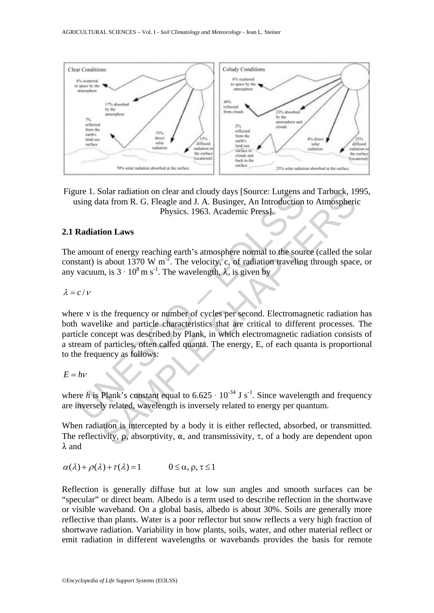

Figure 1. Solar radiation on clear and cloudy days [Source: Lutgens and Tarbuck, 1995, using data from R. G. Fleagle and J. A. Businger, An Introduction to Atmospheric Physics. 1963. Academic Press].

### **2.1 Radiation Laws**

The amount of energy reaching earth's atmosphere normal to the source (called the solar constant) is about 1370 W m<sup>-2</sup>. The velocity, c, of radiation traveling through space, or any vacuum, is  $3 \cdot 10^8$  m s<sup>-1</sup>. The wavelength,  $\lambda$ , is given by

#### λ = *c* /<sup>ν</sup>

The 1. Solar radiation on clear and cloudy days [Source: Luigens at sing data from R. G. Fleagle and J. A. Businger, An Introduction Physics. 1963. Academic Press].<br> **Radiation Laws**<br>
amount of energy reaching earth's atm bolar radiation on clear and cloudy days [Source: Lutgens and Tarbuck, 15<br>
that from R. G. Fleagle and J. A. Businger, An Introduction to Atmospheri<br>
Physics. 1963. Academic Press].<br> **ion Laws**<br> **ion Laws**<br> **ion Laws**<br> **i** where  $\nu$  is the frequency or number of cycles per second. Electromagnetic radiation has both wavelike and particle characteristics that are critical to different processes. The particle concept was described by Plank, in which electromagnetic radiation consists of a stream of particles, often called quanta. The energy, E, of each quanta is proportional to the frequency as follows:

$$
E=h\nu
$$

where *h* is Plank's constant equal to  $6.625 \cdot 10^{-34}$  J s<sup>-1</sup>. Since wavelength and frequency are inversely related, wavelength is inversely related to energy per quantum.

When radiation is intercepted by a body it is either reflected, absorbed, or transmitted. The reflectivity,  $\rho$ , absorptivity,  $\alpha$ , and transmissivity,  $\tau$ , of a body are dependent upon  $\lambda$  and

$$
\alpha(\lambda) + \rho(\lambda) + \tau(\lambda) = 1 \qquad 0 \le \alpha, \rho, \tau \le 1
$$

Reflection is generally diffuse but at low sun angles and smooth surfaces can be "specular" or direct beam. Albedo is a term used to describe reflection in the shortwave or visible waveband. On a global basis, albedo is about 30%. Soils are generally more reflective than plants. Water is a poor reflector but snow reflects a very high fraction of shortwave radiation. Variability in how plants, soils, water, and other material reflect or emit radiation in different wavelengths or wavebands provides the basis for remote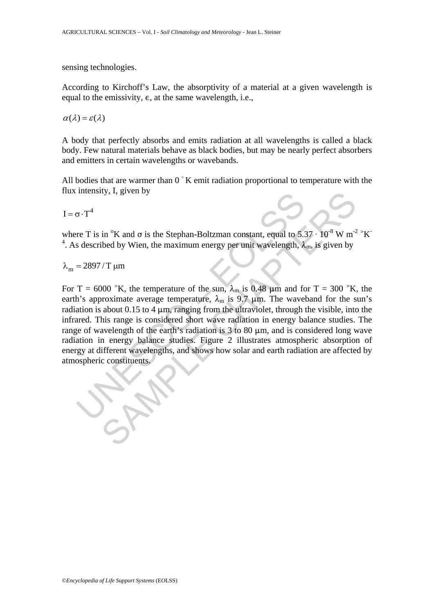sensing technologies.

According to Kirchoff's Law, the absorptivity of a material at a given wavelength is equal to the emissivity,  $\epsilon$ , at the same wavelength, i.e.,

 $\alpha(\lambda) = \varepsilon(\lambda)$ 

A body that perfectly absorbs and emits radiation at all wavelengths is called a black body. Few natural materials behave as black bodies, but may be nearly perfect absorbers and emitters in certain wavelengths or wavebands.

All bodies that are warmer than  $0<sup>°</sup>$  K emit radiation proportional to temperature with the flux intensity, I, given by

 $I = \sigma \cdot T^4$ 

where T is in <sup>o</sup>K and  $\sigma$  is the Stephan-Boltzman constant, equal to 5.37  $\cdot$  10<sup>-8</sup> W m<sup>-2</sup>  $\cdot$ K <sup>4</sup>. As described by Wien, the maximum energy per unit wavelength,  $\lambda_m$ , is given by

 $λ<sub>m</sub> = 2897 / T \mu m$ 

Then sity, i, given by<br>
To  $\tau$ <sup>4</sup><br>
Then six and  $\sigma$  is the Stephan-Boltzman constant, equal to 5.5<br>
s described by Wien, the maximum energy per unit wavelength,  $\lambda$ <br>
= 2897/T  $\mu$ m<br>
T = 6000  $^{\circ}$ K, the temperature of in <sup>o</sup>K and  $\sigma$  is the Stephan-Boltzman constant, equal to 5.37  $\cdot$  10<sup>8</sup> W m<sup>2</sup><br>ibed by Wien, the maximum energy per unit wavelength,  $\lambda_{\rm m}$ , is given by<br>/T µm<br>000 <sup>></sup>K, the temperature of the sun,  $\lambda_{\rm m}$  is 0.48 For T = 6000  $^{\circ}$ K, the temperature of the sun,  $\lambda_{m}$  is 0.48  $\mu$ m and for T = 300  $^{\circ}$ K, the earth's approximate average temperature,  $\lambda_m$  is 9.7  $\mu$ m. The waveband for the sun's radiation is about 0.15 to 4  $\mu$ m, ranging from the ultraviolet, through the visible, into the infrared. This range is considered short wave radiation in energy balance studies. The range of wavelength of the earth's radiation is  $3$  to  $80 \mu m$ , and is considered long wave radiation in energy balance studies. Figure 2 illustrates atmospheric absorption of energy at different wavelengths, and shows how solar and earth radiation are affected by atmospheric constituents.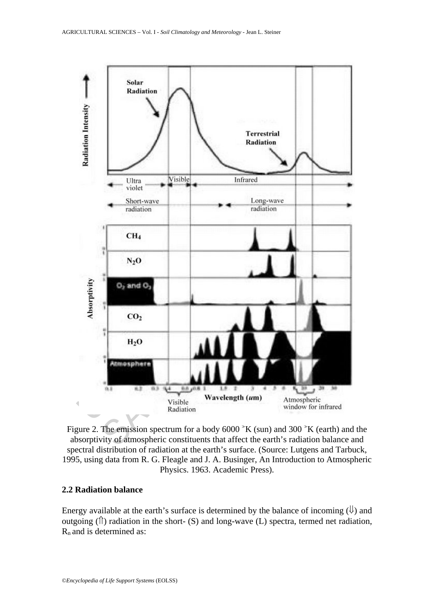

Figure 2. The emission spectrum for a body  $6000$   $\mathrm{K}$  (sun) and 300  $\mathrm{K}$  (earth) and the absorptivity of atmospheric constituents that affect the earth's radiation balance and spectral distribution of radiation at the earth's surface. (Source: Lutgens and Tarbuck, 1995, using data from R. G. Fleagle and J. A. Businger, An Introduction to Atmospheric Physics. 1963. Academic Press).

## **2.2 Radiation balance**

Energy available at the earth's surface is determined by the balance of incoming  $(\psi)$  and outgoing  $(\hat{\mathbb{I}})$  radiation in the short- (S) and long-wave (L) spectra, termed net radiation,  $R_n$  and is determined as: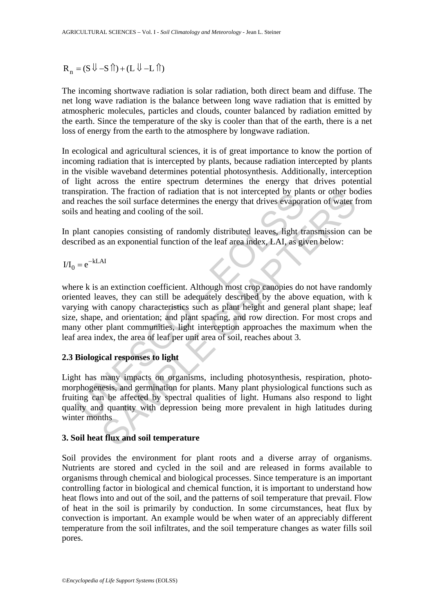$R_n = (S \cup -S \cap ) + (L \cup -L \cap )$ 

The incoming shortwave radiation is solar radiation, both direct beam and diffuse. The net long wave radiation is the balance between long wave radiation that is emitted by atmospheric molecules, particles and clouds, counter balanced by radiation emitted by the earth. Since the temperature of the sky is cooler than that of the earth, there is a net loss of energy from the earth to the atmosphere by longwave radiation.

In ecological and agricultural sciences, it is of great importance to know the portion of incoming radiation that is intercepted by plants, because radiation intercepted by plants in the visible waveband determines potential photosynthesis. Additionally, interception of light across the entire spectrum determines the energy that drives potential transpiration. The fraction of radiation that is not intercepted by plants or other bodies and reaches the soil surface determines the energy that drives evaporation of water from soils and heating and cooling of the soil.

In plant canopies consisting of randomly distributed leaves, light transmission can be described as an exponential function of the leaf area index, LAI, as given below:

 $I/I_0 = e^{-kLAI}$ 

spiration. The fraction of radiation that is not intercepted by plaar<br>reaches the soil surface determines the energy that drives evaporation<br>and heating and cooling of the soil.<br>Jant canopies consisting of randomly distri n. In traction or radiation that is not intercepted by plants or other boost.<br>In the raction or radiation that is not intercepted by plants or other booster for the energy that drives evaporation of water free<br>large and co where k is an extinction coefficient. Although most crop canopies do not have randomly oriented leaves, they can still be adequately described by the above equation, with k varying with canopy characteristics such as plant height and general plant shape; leaf size, shape, and orientation; and plant spacing, and row direction. For most crops and many other plant communities, light interception approaches the maximum when the leaf area index, the area of leaf per unit area of soil, reaches about 3.

# **2.3 Biological responses to light**

Light has many impacts on organisms, including photosynthesis, respiration, photomorphogenesis, and germination for plants. Many plant physiological functions such as fruiting can be affected by spectral qualities of light. Humans also respond to light quality and quantity with depression being more prevalent in high latitudes during winter months

### **3. Soil heat flux and soil temperature**

Soil provides the environment for plant roots and a diverse array of organisms. Nutrients are stored and cycled in the soil and are released in forms available to organisms through chemical and biological processes. Since temperature is an important controlling factor in biological and chemical function, it is important to understand how heat flows into and out of the soil, and the patterns of soil temperature that prevail. Flow of heat in the soil is primarily by conduction. In some circumstances, heat flux by convection is important. An example would be when water of an appreciably different temperature from the soil infiltrates, and the soil temperature changes as water fills soil pores.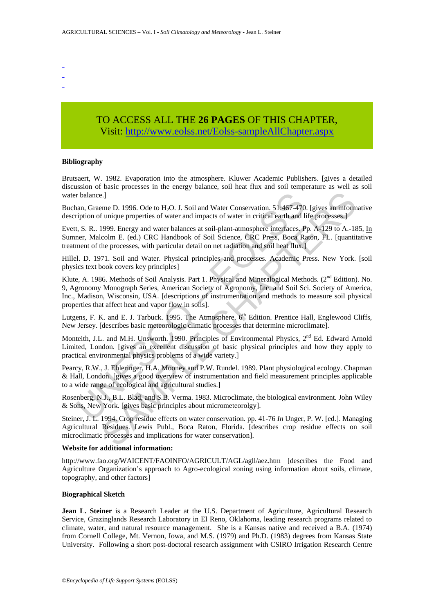- -
- -
- -

# TO ACCESS ALL THE **26 PAGES** OF THIS CHAPTER, Visi[t: http://www.eolss.net/Eolss-sampleAllChapter.aspx](https://www.eolss.net/ebooklib/sc_cart.aspx?File=E5-24-01-07)

#### **Bibliography**

Brutsaert, W. 1982. Evaporation into the atmosphere. Kluwer Academic Publishers. [gives a detailed discussion of basic processes in the energy balance, soil heat flux and soil temperature as well as soil water balance.]

Buchan, Graeme D. 1996. Ode to H<sub>2</sub>O. J. Soil and Water Conservation. 51:467-470. [gives an informative description of unique properties of water and impacts of water in critical earth and life processes.]

Evett, S. R.. 1999. Energy and water balances at soil-plant-atmosphere interfaces. Pp. A-129 to A.-185, In Sumner, Malcolm E. (ed.) CRC Handbook of Soil Science, CRC Press, Boca Raton, FL. [quantitative treatment of the processes, with particular detail on net radiation and soil heat flux.]

Hillel. D. 1971. Soil and Water. Physical principles and processes. Academic Press. New York. [soil physics text book covers key principles]

r balance.]<br>
than, Graeme D. 1996. Ode to H<sub>2</sub>O. J. Soil and Water Conservation. 51:467-470<br>
empirion of unique properties of water and impacts of water in critical earth and l<br>
t, S. R.. 1999. Energy and water balances at e.]<br>
e.]<br>
e.new D. 1996. Ode to H;O. J. Soil and Water Conservation. 51:467-470. [gives an inform<br>
fr unique properties of water and impacts of water in critical earth and life processes.]<br>
from the processes, with particu Klute, A. 1986. Methods of Soil Analysis. Part 1. Physical and Mineralogical Methods. (2<sup>nd</sup> Edition). No. 9, Agronomy Monograph Series, American Society of Agronomy, Inc. and Soil Sci. Society of America, Inc., Madison, Wisconsin, USA. [descriptions of instrumentation and methods to measure soil physical properties that affect heat and vapor flow in soils].

Lutgens, F. K. and E. J. Tarbuck. 1995. The Atmosphere. 6<sup>th</sup> Edition. Prentice Hall, Englewood Cliffs, New Jersey. [describes basic meteorologic climatic processes that determine microclimate].

Monteith, J.L. and M.H. Unsworth. 1990. Principles of Environmental Physics, 2<sup>nd</sup> Ed. Edward Arnold Limited, London. [gives an excellent discussion of basic physical principles and how they apply to practical environmental physics problems of a wide variety.]

Pearcy, R.W., J. Ehleringer, H.A. Mooney and P.W. Rundel. 1989. Plant physiological ecology. Chapman & Hall, London. [gives a good overview of instrumentation and field measurement principles applicable to a wide range of ecological and agricultural studies.]

Rosenberg, N.J., B.L. Blad, and S.B. Verma. 1983. Microclimate, the biological environment. John Wiley & Sons, New York. [gives basic principles about micrometeorolgy].

Steiner, J. L. 1994. Crop residue effects on water conservation. pp. 41-76 *In* Unger, P. W. [ed.]. Managing Agricultural Residues. Lewis Publ., Boca Raton, Florida. [describes crop residue effects on soil microclimatic processes and implications for water conservation].

#### **Website for additional information:**

http://www.fao.org/WAICENT/FAOINFO/AGRICULT/AGL/agll/aez.htm [describes the Food and Agriculture Organization's approach to Agro-ecological zoning using information about soils, climate, topography, and other factors]

#### **Biographical Sketch**

**Jean L. Steiner** is a Research Leader at the U.S. Department of Agriculture, Agricultural Research Service, Grazinglands Research Laboratory in El Reno, Oklahoma, leading research programs related to climate, water, and natural resource management. She is a Kansas native and received a B.A. (1974) from Cornell College, Mt. Vernon, Iowa, and M.S. (1979) and Ph.D. (1983) degrees from Kansas State University. Following a short post-doctoral research assignment with CSIRO Irrigation Research Centre